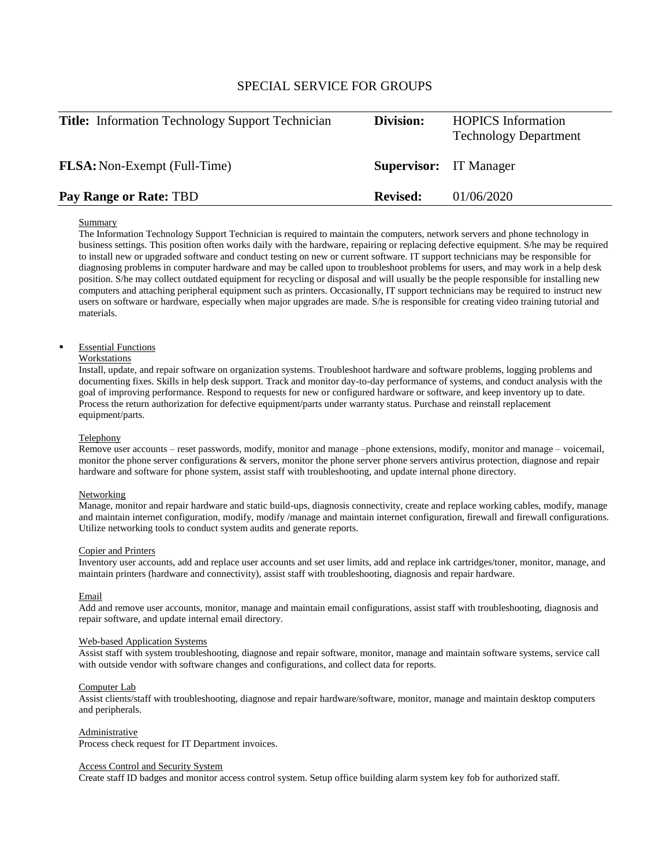# SPECIAL SERVICE FOR GROUPS

| <b>Title:</b> Information Technology Support Technician | Division:                     | <b>HOPICS</b> Information<br><b>Technology Department</b> |
|---------------------------------------------------------|-------------------------------|-----------------------------------------------------------|
| <b>FLSA:</b> Non-Exempt (Full-Time)                     | <b>Supervisor:</b> IT Manager |                                                           |
| Pay Range or Rate: TBD                                  | <b>Revised:</b>               | 01/06/2020                                                |

## Summary

The Information Technology Support Technician is required to maintain the computers, network servers and phone technology in business settings. This position often works daily with the hardware, repairing or replacing defective equipment. S/he may be required to install new or upgraded software and conduct testing on new or current software. IT support technicians may be responsible for diagnosing problems in computer hardware and may be called upon to troubleshoot problems for users, and may work in a help desk position. S/he may collect outdated equipment for recycling or disposal and will usually be the people responsible for installing new computers and attaching peripheral equipment such as printers. Occasionally, IT support technicians may be required to instruct new users on software or hardware, especially when major upgrades are made. S/he is responsible for creating video training tutorial and materials.

## Essential Functions

## Workstations

Install, update, and repair software on organization systems. Troubleshoot hardware and software problems, logging problems and documenting fixes. Skills in help desk support. Track and monitor day-to-day performance of systems, and conduct analysis with the goal of improving performance. Respond to requests for new or configured hardware or software, and keep inventory up to date. Process the return authorization for defective equipment/parts under warranty status. Purchase and reinstall replacement equipment/parts.

### Telephony

Remove user accounts – reset passwords, modify, monitor and manage –phone extensions, modify, monitor and manage – voicemail, monitor the phone server configurations & servers, monitor the phone server phone servers antivirus protection, diagnose and repair hardware and software for phone system, assist staff with troubleshooting, and update internal phone directory.

## Networking

Manage, monitor and repair hardware and static build-ups, diagnosis connectivity, create and replace working cables, modify, manage and maintain internet configuration, modify, modify /manage and maintain internet configuration, firewall and firewall configurations. Utilize networking tools to conduct system audits and generate reports.

## Copier and Printers

Inventory user accounts, add and replace user accounts and set user limits, add and replace ink cartridges/toner, monitor, manage, and maintain printers (hardware and connectivity), assist staff with troubleshooting, diagnosis and repair hardware.

#### Email

Add and remove user accounts, monitor, manage and maintain email configurations, assist staff with troubleshooting, diagnosis and repair software, and update internal email directory.

#### Web-based Application Systems

Assist staff with system troubleshooting, diagnose and repair software, monitor, manage and maintain software systems, service call with outside vendor with software changes and configurations, and collect data for reports.

#### Computer Lab

Assist clients/staff with troubleshooting, diagnose and repair hardware/software, monitor, manage and maintain desktop computers and peripherals.

#### Administrative

Process check request for IT Department invoices.

## Access Control and Security System

Create staff ID badges and monitor access control system. Setup office building alarm system key fob for authorized staff.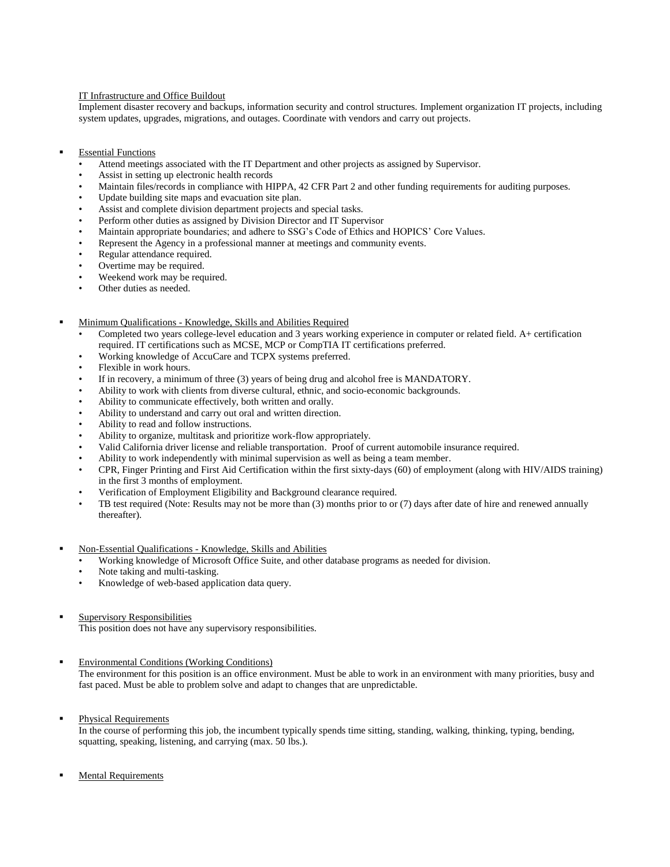## IT Infrastructure and Office Buildout

Implement disaster recovery and backups, information security and control structures. Implement organization IT projects, including system updates, upgrades, migrations, and outages. Coordinate with vendors and carry out projects.

- Essential Functions
	- Attend meetings associated with the IT Department and other projects as assigned by Supervisor.
	- Assist in setting up electronic health records
	- Maintain files/records in compliance with HIPPA, 42 CFR Part 2 and other funding requirements for auditing purposes.
	- Update building site maps and evacuation site plan.
	- Assist and complete division department projects and special tasks.
	- Perform other duties as assigned by Division Director and IT Supervisor
	- Maintain appropriate boundaries; and adhere to SSG's Code of Ethics and HOPICS' Core Values.
	- Represent the Agency in a professional manner at meetings and community events.
	- Regular attendance required.
	- Overtime may be required.
	- Weekend work may be required.
	- Other duties as needed.
- Minimum Qualifications Knowledge, Skills and Abilities Required
	- Completed two years college-level education and 3 years working experience in computer or related field. A+ certification required. IT certifications such as MCSE, MCP or CompTIA IT certifications preferred.
	- Working knowledge of AccuCare and TCPX systems preferred.
	- Flexible in work hours.
	- If in recovery, a minimum of three (3) years of being drug and alcohol free is MANDATORY.
	- Ability to work with clients from diverse cultural, ethnic, and socio-economic backgrounds.
	- Ability to communicate effectively, both written and orally.
	- Ability to understand and carry out oral and written direction.
	- Ability to read and follow instructions.
	- Ability to organize, multitask and prioritize work-flow appropriately.
	- Valid California driver license and reliable transportation. Proof of current automobile insurance required.
	- Ability to work independently with minimal supervision as well as being a team member.
	- CPR, Finger Printing and First Aid Certification within the first sixty-days (60) of employment (along with HIV/AIDS training) in the first 3 months of employment.
	- Verification of Employment Eligibility and Background clearance required.
	- TB test required (Note: Results may not be more than (3) months prior to or (7) days after date of hire and renewed annually thereafter).
- Non-Essential Qualifications Knowledge, Skills and Abilities
	- Working knowledge of Microsoft Office Suite, and other database programs as needed for division.
	- Note taking and multi-tasking.
	- Knowledge of web-based application data query.
- Supervisory Responsibilities

This position does not have any supervisory responsibilities.

Environmental Conditions (Working Conditions)

The environment for this position is an office environment. Must be able to work in an environment with many priorities, busy and fast paced. Must be able to problem solve and adapt to changes that are unpredictable.

Physical Requirements

In the course of performing this job, the incumbent typically spends time sitting, standing, walking, thinking, typing, bending, squatting, speaking, listening, and carrying (max. 50 lbs.).

Mental Requirements